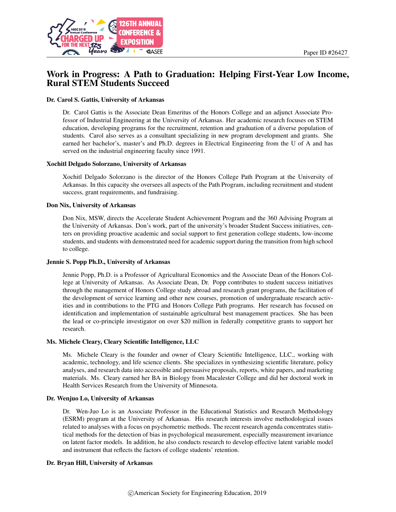

# Work in Progress: A Path to Graduation: Helping First-Year Low Income, Rural STEM Students Succeed

#### Dr. Carol S. Gattis, University of Arkansas

Dr. Carol Gattis is the Associate Dean Emeritus of the Honors College and an adjunct Associate Professor of Industrial Engineering at the University of Arkansas. Her academic research focuses on STEM education, developing programs for the recruitment, retention and graduation of a diverse population of students. Carol also serves as a consultant specializing in new program development and grants. She earned her bachelor's, master's and Ph.D. degrees in Electrical Engineering from the U of A and has served on the industrial engineering faculty since 1991.

#### Xochitl Delgado Solorzano, University of Arkansas

Xochitl Delgado Solorzano is the director of the Honors College Path Program at the University of Arkansas. In this capacity she oversees all aspects of the Path Program, including recruitment and student success, grant requirements, and fundraising.

#### Don Nix, University of Arkansas

Don Nix, MSW, directs the Accelerate Student Achievement Program and the 360 Advising Program at the University of Arkansas. Don's work, part of the university's broader Student Success initiatives, centers on providing proactive academic and social support to first generation college students, low-income students, and students with demonstrated need for academic support during the transition from high school to college.

#### Jennie S. Popp Ph.D., University of Arkansas

Jennie Popp, Ph.D. is a Professor of Agricultural Economics and the Associate Dean of the Honors College at University of Arkansas. As Associate Dean, Dr. Popp contributes to student success initiatives through the management of Honors College study abroad and research grant programs, the facilitation of the development of service learning and other new courses, promotion of undergraduate research activities and in contributions to the PTG and Honors College Path programs. Her research has focused on identification and implementation of sustainable agricultural best management practices. She has been the lead or co-principle investigator on over \$20 million in federally competitive grants to support her research.

#### Ms. Michele Cleary, Cleary Scientific Intelligence, LLC

Ms. Michele Cleary is the founder and owner of Cleary Scientific Intelligence, LLC., working with academic, technology, and life science clients. She specializes in synthesizing scientific literature, policy analyses, and research data into accessible and persuasive proposals, reports, white papers, and marketing materials. Ms. Cleary earned her BA in Biology from Macalester College and did her doctoral work in Health Services Research from the University of Minnesota.

#### Dr. Wenjuo Lo, University of Arkansas

Dr. Wen-Juo Lo is an Associate Professor in the Educational Statistics and Research Methodology (ESRM) program at the University of Arkansas. His research interests involve methodological issues related to analyses with a focus on psychometric methods. The recent research agenda concentrates statistical methods for the detection of bias in psychological measurement, especially measurement invariance on latent factor models. In addition, he also conducts research to develop effective latent variable model and instrument that reflects the factors of college students' retention.

#### Dr. Bryan Hill, University of Arkansas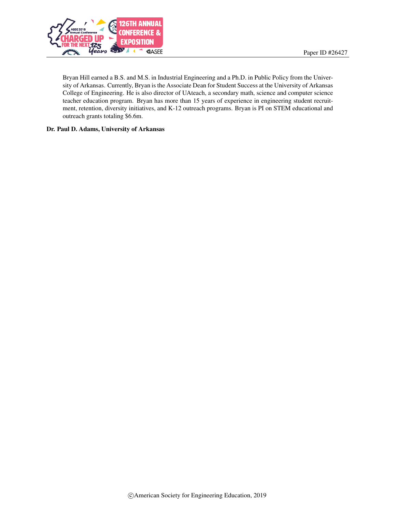

Bryan Hill earned a B.S. and M.S. in Industrial Engineering and a Ph.D. in Public Policy from the University of Arkansas. Currently, Bryan is the Associate Dean for Student Success at the University of Arkansas College of Engineering. He is also director of UAteach, a secondary math, science and computer science teacher education program. Bryan has more than 15 years of experience in engineering student recruitment, retention, diversity initiatives, and K-12 outreach programs. Bryan is PI on STEM educational and outreach grants totaling \$6.6m.

#### Dr. Paul D. Adams, University of Arkansas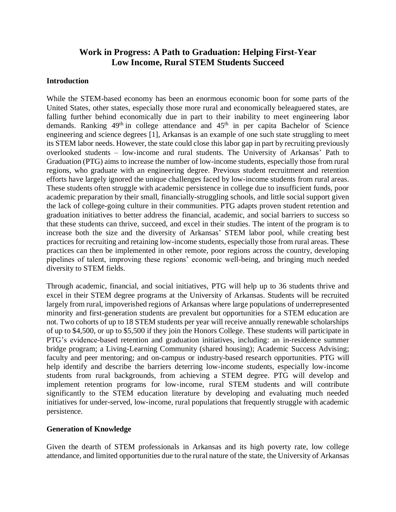# **Work in Progress: A Path to Graduation: Helping First-Year Low Income, Rural STEM Students Succeed**

#### **Introduction**

While the STEM-based economy has been an enormous economic boon for some parts of the United States, other states, especially those more rural and economically beleaguered states, are falling further behind economically due in part to their inability to meet engineering labor demands. Ranking  $49<sup>th</sup>$  in college attendance and  $45<sup>th</sup>$  in per capita Bachelor of Science engineering and science degrees [1], Arkansas is an example of one such state struggling to meet its STEM labor needs. However, the state could close this labor gap in part by recruiting previously overlooked students – low-income and rural students. The University of Arkansas' Path to Graduation (PTG) aims to increase the number of low-income students, especially those from rural regions, who graduate with an engineering degree. Previous student recruitment and retention efforts have largely ignored the unique challenges faced by low-income students from rural areas. These students often struggle with academic persistence in college due to insufficient funds, poor academic preparation by their small, financially-struggling schools, and little social support given the lack of college-going culture in their communities. PTG adapts proven student retention and graduation initiatives to better address the financial, academic, and social barriers to success so that these students can thrive, succeed, and excel in their studies. The intent of the program is to increase both the size and the diversity of Arkansas' STEM labor pool, while creating best practices for recruiting and retaining low-income students, especially those from rural areas. These practices can then be implemented in other remote, poor regions across the country, developing pipelines of talent, improving these regions' economic well-being, and bringing much needed diversity to STEM fields.

Through academic, financial, and social initiatives, PTG will help up to 36 students thrive and excel in their STEM degree programs at the University of Arkansas. Students will be recruited largely from rural, impoverished regions of Arkansas where large populations of underrepresented minority and first-generation students are prevalent but opportunities for a STEM education are not. Two cohorts of up to 18 STEM students per year will receive annually renewable scholarships of up to \$4,500, or up to \$5,500 if they join the Honors College. These students will participate in PTG's evidence-based retention and graduation initiatives, including: an in-residence summer bridge program; a Living-Learning Community (shared housing); Academic Success Advising; faculty and peer mentoring; and on-campus or industry-based research opportunities. PTG will help identify and describe the barriers deterring low-income students, especially low-income students from rural backgrounds, from achieving a STEM degree. PTG will develop and implement retention programs for low-income, rural STEM students and will contribute significantly to the STEM education literature by developing and evaluating much needed initiatives for under-served, low-income, rural populations that frequently struggle with academic persistence.

#### **Generation of Knowledge**

Given the dearth of STEM professionals in Arkansas and its high poverty rate, low college attendance, and limited opportunities due to the rural nature of the state, the University of Arkansas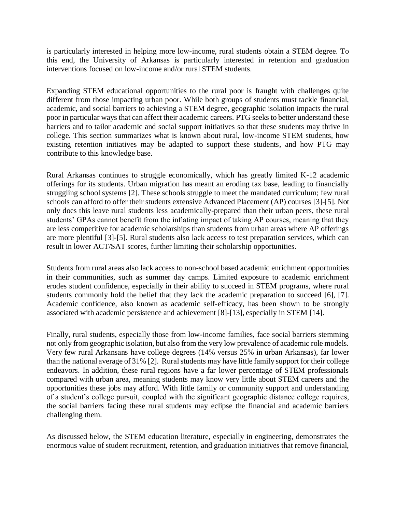is particularly interested in helping more low-income, rural students obtain a STEM degree. To this end, the University of Arkansas is particularly interested in retention and graduation interventions focused on low-income and/or rural STEM students.

Expanding STEM educational opportunities to the rural poor is fraught with challenges quite different from those impacting urban poor. While both groups of students must tackle financial, academic, and social barriers to achieving a STEM degree, geographic isolation impacts the rural poor in particular ways that can affect their academic careers. PTG seeks to better understand these barriers and to tailor academic and social support initiatives so that these students may thrive in college. This section summarizes what is known about rural, low-income STEM students, how existing retention initiatives may be adapted to support these students, and how PTG may contribute to this knowledge base.

Rural Arkansas continues to struggle economically, which has greatly limited K-12 academic offerings for its students. Urban migration has meant an eroding tax base, leading to financially struggling school systems [2]. These schools struggle to meet the mandated curriculum; few rural schools can afford to offer their students extensive Advanced Placement (AP) courses [3]-[5]. Not only does this leave rural students less academically-prepared than their urban peers, these rural students' GPAs cannot benefit from the inflating impact of taking AP courses, meaning that they are less competitive for academic scholarships than students from urban areas where AP offerings are more plentiful [3]-[5]. Rural students also lack access to test preparation services, which can result in lower ACT/SAT scores, further limiting their scholarship opportunities.

Students from rural areas also lack access to non-school based academic enrichment opportunities in their communities, such as summer day camps. Limited exposure to academic enrichment erodes student confidence, especially in their ability to succeed in STEM programs, where rural students commonly hold the belief that they lack the academic preparation to succeed [6], [7]. Academic confidence, also known as academic self-efficacy, has been shown to be strongly associated with academic persistence and achievement [8]-[13], especially in STEM [14].

Finally, rural students, especially those from low-income families, face social barriers stemming not only from geographic isolation, but also from the very low prevalence of academic role models. Very few rural Arkansans have college degrees (14% versus 25% in urban Arkansas), far lower than the national average of 31% [2]. Rural students may have little family support for their college endeavors. In addition, these rural regions have a far lower percentage of STEM professionals compared with urban area, meaning students may know very little about STEM careers and the opportunities these jobs may afford. With little family or community support and understanding of a student's college pursuit, coupled with the significant geographic distance college requires, the social barriers facing these rural students may eclipse the financial and academic barriers challenging them.

As discussed below, the STEM education literature, especially in engineering, demonstrates the enormous value of student recruitment, retention, and graduation initiatives that remove financial,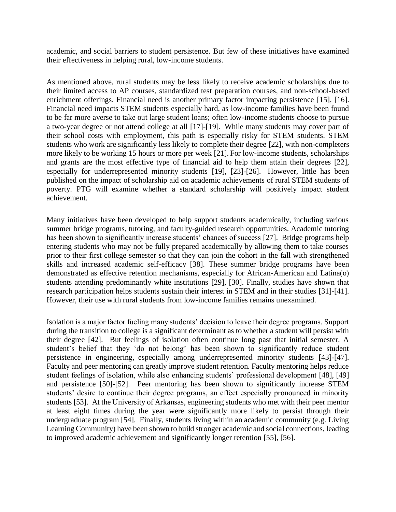academic, and social barriers to student persistence. But few of these initiatives have examined their effectiveness in helping rural, low-income students.

As mentioned above, rural students may be less likely to receive academic scholarships due to their limited access to AP courses, standardized test preparation courses, and non-school-based enrichment offerings. Financial need is another primary factor impacting persistence [15], [16]. Financial need impacts STEM students especially hard, as low-income families have been found to be far more averse to take out large student loans; often low-income students choose to pursue a two-year degree or not attend college at all [17]-[19]. While many students may cover part of their school costs with employment, this path is especially risky for STEM students. STEM students who work are significantly less likely to complete their degree [22], with non-completers more likely to be working 15 hours or more per week [21]. For low-income students, scholarships and grants are the most effective type of financial aid to help them attain their degrees [22], especially for underrepresented minority students [19], [23]-[26]. However, little has been published on the impact of scholarship aid on academic achievements of rural STEM students of poverty. PTG will examine whether a standard scholarship will positively impact student achievement.

Many initiatives have been developed to help support students academically, including various summer bridge programs, tutoring, and faculty-guided research opportunities. Academic tutoring has been shown to significantly increase students' chances of success [27]. Bridge programs help entering students who may not be fully prepared academically by allowing them to take courses prior to their first college semester so that they can join the cohort in the fall with strengthened skills and increased academic self-efficacy [38]. These summer bridge programs have been demonstrated as effective retention mechanisms, especially for African-American and Latina(o) students attending predominantly white institutions [29], [30]. Finally, studies have shown that research participation helps students sustain their interest in STEM and in their studies [31]-[41]. However, their use with rural students from low-income families remains unexamined.

Isolation is a major factor fueling many students' decision to leave their degree programs. Support during the transition to college is a significant determinant as to whether a student will persist with their degree [42]. But feelings of isolation often continue long past that initial semester. A student's belief that they 'do not belong' has been shown to significantly reduce student persistence in engineering, especially among underrepresented minority students [43]-[47]. Faculty and peer mentoring can greatly improve student retention. Faculty mentoring helps reduce student feelings of isolation, while also enhancing students' professional development [48], [49] and persistence [50]-[52]. Peer mentoring has been shown to significantly increase STEM students' desire to continue their degree programs, an effect especially pronounced in minority students [53]. At the University of Arkansas, engineering students who met with their peer mentor at least eight times during the year were significantly more likely to persist through their undergraduate program [54]. Finally, students living within an academic community (e.g. Living Learning Community) have been shown to build stronger academic and social connections, leading to improved academic achievement and significantly longer retention [55], [56].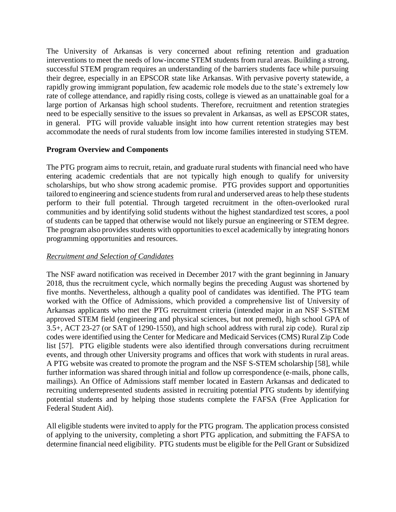The University of Arkansas is very concerned about refining retention and graduation interventions to meet the needs of low-income STEM students from rural areas. Building a strong, successful STEM program requires an understanding of the barriers students face while pursuing their degree, especially in an EPSCOR state like Arkansas. With pervasive poverty statewide, a rapidly growing immigrant population, few academic role models due to the state's extremely low rate of college attendance, and rapidly rising costs, college is viewed as an unattainable goal for a large portion of Arkansas high school students. Therefore, recruitment and retention strategies need to be especially sensitive to the issues so prevalent in Arkansas, as well as EPSCOR states, in general. PTG will provide valuable insight into how current retention strategies may best accommodate the needs of rural students from low income families interested in studying STEM.

## **Program Overview and Components**

The PTG program aims to recruit, retain, and graduate rural students with financial need who have entering academic credentials that are not typically high enough to qualify for university scholarships, but who show strong academic promise. PTG provides support and opportunities tailored to engineering and science students from rural and underserved areas to help these students perform to their full potential. Through targeted recruitment in the often-overlooked rural communities and by identifying solid students without the highest standardized test scores, a pool of students can be tapped that otherwise would not likely pursue an engineering or STEM degree. The program also provides students with opportunities to excel academically by integrating honors programming opportunities and resources.

### *Recruitment and Selection of Candidates*

The NSF award notification was received in December 2017 with the grant beginning in January 2018, thus the recruitment cycle, which normally begins the preceding August was shortened by five months. Nevertheless, although a quality pool of candidates was identified. The PTG team worked with the Office of Admissions, which provided a comprehensive list of University of Arkansas applicants who met the PTG recruitment criteria (intended major in an NSF S-STEM approved STEM field (engineering and physical sciences, but not premed), high school GPA of 3.5+, ACT 23-27 (or SAT of 1290-1550), and high school address with rural zip code). Rural zip codes were identified using the Center for Medicare and Medicaid Services (CMS) Rural Zip Code list [57]. PTG eligible students were also identified through conversations during recruitment events, and through other University programs and offices that work with students in rural areas. A PTG website was created to promote the program and the NSF S-STEM scholarship [58], while further information was shared through initial and follow up correspondence (e-mails, phone calls, mailings). An Office of Admissions staff member located in Eastern Arkansas and dedicated to recruiting underrepresented students assisted in recruiting potential PTG students by identifying potential students and by helping those students complete the FAFSA (Free Application for Federal Student Aid).

All eligible students were invited to apply for the PTG program. The application process consisted of applying to the university, completing a short PTG application, and submitting the FAFSA to determine financial need eligibility. PTG students must be eligible for the Pell Grant or Subsidized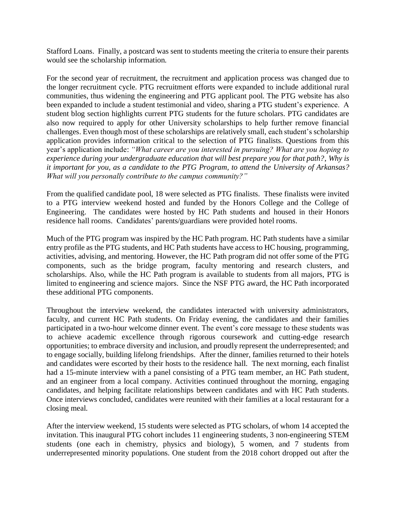Stafford Loans. Finally, a postcard was sent to students meeting the criteria to ensure their parents would see the scholarship information.

For the second year of recruitment, the recruitment and application process was changed due to the longer recruitment cycle. PTG recruitment efforts were expanded to include additional rural communities, thus widening the engineering and PTG applicant pool. The PTG website has also been expanded to include a student testimonial and video, sharing a PTG student's experience. A student blog section highlights current PTG students for the future scholars. PTG candidates are also now required to apply for other University scholarships to help further remove financial challenges. Even though most of these scholarships are relatively small, each student's scholarship application provides information critical to the selection of PTG finalists. Questions from this year's application include: *"What career are you interested in pursuing? What are you hoping to experience during your undergraduate education that will best prepare you for that path?*, *Why is it important for you, as a candidate to the PTG Program, to attend the University of Arkansas? What will you personally contribute to the campus community?"*

From the qualified candidate pool, 18 were selected as PTG finalists. These finalists were invited to a PTG interview weekend hosted and funded by the Honors College and the College of Engineering. The candidates were hosted by HC Path students and housed in their Honors residence hall rooms. Candidates' parents/guardians were provided hotel rooms.

Much of the PTG program was inspired by the HC Path program. HC Path students have a similar entry profile as the PTG students, and HC Path students have access to HC housing, programming, activities, advising, and mentoring. However, the HC Path program did not offer some of the PTG components, such as the bridge program, faculty mentoring and research clusters, and scholarships. Also, while the HC Path program is available to students from all majors, PTG is limited to engineering and science majors. Since the NSF PTG award, the HC Path incorporated these additional PTG components.

Throughout the interview weekend, the candidates interacted with university administrators, faculty, and current HC Path students. On Friday evening, the candidates and their families participated in a two-hour welcome dinner event. The event's core message to these students was to achieve academic excellence through rigorous coursework and cutting-edge research opportunities; to embrace diversity and inclusion, and proudly represent the underrepresented; and to engage socially, building lifelong friendships. After the dinner, families returned to their hotels and candidates were escorted by their hosts to the residence hall. The next morning, each finalist had a 15-minute interview with a panel consisting of a PTG team member, an HC Path student, and an engineer from a local company. Activities continued throughout the morning, engaging candidates, and helping facilitate relationships between candidates and with HC Path students. Once interviews concluded, candidates were reunited with their families at a local restaurant for a closing meal.

After the interview weekend, 15 students were selected as PTG scholars, of whom 14 accepted the invitation. This inaugural PTG cohort includes 11 engineering students, 3 non-engineering STEM students (one each in chemistry, physics and biology), 5 women, and 7 students from underrepresented minority populations. One student from the 2018 cohort dropped out after the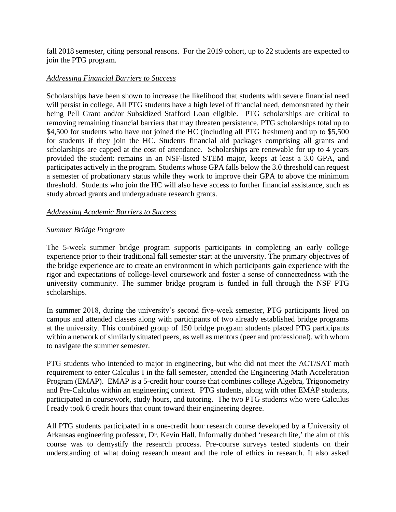fall 2018 semester, citing personal reasons. For the 2019 cohort, up to 22 students are expected to join the PTG program.

### *Addressing Financial Barriers to Success*

Scholarships have been shown to increase the likelihood that students with severe financial need will persist in college. All PTG students have a high level of financial need, demonstrated by their being Pell Grant and/or Subsidized Stafford Loan eligible. PTG scholarships are critical to removing remaining financial barriers that may threaten persistence. PTG scholarships total up to \$4,500 for students who have not joined the HC (including all PTG freshmen) and up to \$5,500 for students if they join the HC. Students financial aid packages comprising all grants and scholarships are capped at the cost of attendance. Scholarships are renewable for up to 4 years provided the student: remains in an NSF-listed STEM major, keeps at least a 3.0 GPA, and participates actively in the program. Students whose GPA falls below the 3.0 threshold can request a semester of probationary status while they work to improve their GPA to above the minimum threshold. Students who join the HC will also have access to further financial assistance, such as study abroad grants and undergraduate research grants.

### *Addressing Academic Barriers to Success*

### *Summer Bridge Program*

The 5-week summer bridge program supports participants in completing an early college experience prior to their traditional fall semester start at the university. The primary objectives of the bridge experience are to create an environment in which participants gain experience with the rigor and expectations of college-level coursework and foster a sense of connectedness with the university community. The summer bridge program is funded in full through the NSF PTG scholarships.

In summer 2018, during the university's second five-week semester, PTG participants lived on campus and attended classes along with participants of two already established bridge programs at the university. This combined group of 150 bridge program students placed PTG participants within a network of similarly situated peers, as well as mentors (peer and professional), with whom to navigate the summer semester.

PTG students who intended to major in engineering, but who did not meet the ACT/SAT math requirement to enter Calculus I in the fall semester, attended the Engineering Math Acceleration Program (EMAP). EMAP is a 5-credit hour course that combines college Algebra, Trigonometry and Pre-Calculus within an engineering context. PTG students, along with other EMAP students, participated in coursework, study hours, and tutoring. The two PTG students who were Calculus I ready took 6 credit hours that count toward their engineering degree.

All PTG students participated in a one-credit hour research course developed by a University of Arkansas engineering professor, Dr. Kevin Hall. Informally dubbed 'research lite,' the aim of this course was to demystify the research process. Pre-course surveys tested students on their understanding of what doing research meant and the role of ethics in research. It also asked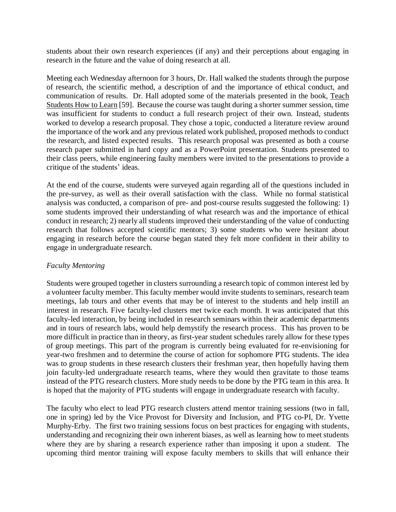students about their own research experiences (if any) and their perceptions about engaging in research in the future and the value of doing research at all.

Meeting each Wednesday afternoon for 3 hours, Dr. Hall walked the students through the purpose of research, the scientific method, a description of and the importance of ethical conduct, and communication of results. Dr. Hall adopted some of the materials presented in the book, Teach Students How to Learn [59]. Because the course was taught during a shorter summer session, time was insufficient for students to conduct a full research project of their own. Instead, students worked to develop a research proposal. They chose a topic, conducted a literature review around the importance of the work and any previous related work published, proposed methods to conduct the research, and listed expected results. This research proposal was presented as both a course research paper submitted in hard copy and as a PowerPoint presentation. Students presented to their class peers, while engineering faulty members were invited to the presentations to provide a critique of the students' ideas.

At the end of the course, students were surveyed again regarding all of the questions included in the pre-survey, as well as their overall satisfaction with the class. While no formal statistical analysis was conducted, a comparison of pre- and post-course results suggested the following: 1) some students improved their understanding of what research was and the importance of ethical conduct in research; 2) nearly all students improved their understanding of the value of conducting research that follows accepted scientific mentors; 3) some students who were hesitant about engaging in research before the course began stated they felt more confident in their ability to engage in undergraduate research.

### *Faculty Mentoring*

Students were grouped together in clusters surrounding a research topic of common interest led by a volunteer faculty member. This faculty member would invite students to seminars, research team meetings, lab tours and other events that may be of interest to the students and help instill an interest in research. Five faculty-led clusters met twice each month. It was anticipated that this faculty-led interaction, by being included in research seminars within their academic departments and in tours of research labs, would help demystify the research process. This has proven to be more difficult in practice than in theory, as first-year student schedules rarely allow for these types of group meetings. This part of the program is currently being evaluated for re-envisioning for year-two freshmen and to determine the course of action for sophomore PTG students. The idea was to group students in these research clusters their freshman year, then hopefully having them join faculty-led undergraduate research teams, where they would then gravitate to those teams instead of the PTG research clusters. More study needs to be done by the PTG team in this area. It is hoped that the majority of PTG students will engage in undergraduate research with faculty.

The faculty who elect to lead PTG research clusters attend mentor training sessions (two in fall, one in spring) led by the Vice Provost for Diversity and Inclusion, and PTG co-PI, Dr. Yvette Murphy-Erby. The first two training sessions focus on best practices for engaging with students, understanding and recognizing their own inherent biases, as well as learning how to meet students where they are by sharing a research experience rather than imposing it upon a student. The upcoming third mentor training will expose faculty members to skills that will enhance their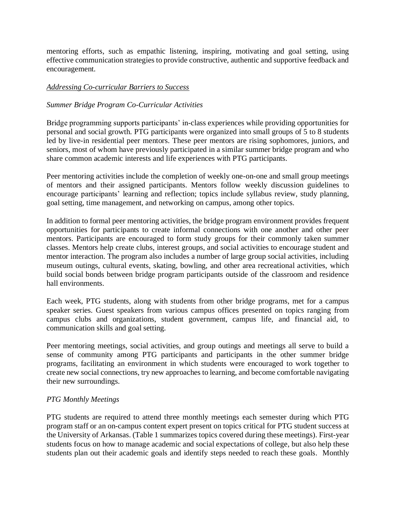mentoring efforts, such as empathic listening, inspiring, motivating and goal setting, using effective communication strategies to provide constructive, authentic and supportive feedback and encouragement.

### *Addressing Co-curricular Barriers to Success*

## *Summer Bridge Program Co-Curricular Activities*

Bridge programming supports participants' in-class experiences while providing opportunities for personal and social growth. PTG participants were organized into small groups of 5 to 8 students led by live-in residential peer mentors. These peer mentors are rising sophomores, juniors, and seniors, most of whom have previously participated in a similar summer bridge program and who share common academic interests and life experiences with PTG participants.

Peer mentoring activities include the completion of weekly one-on-one and small group meetings of mentors and their assigned participants. Mentors follow weekly discussion guidelines to encourage participants' learning and reflection; topics include syllabus review, study planning, goal setting, time management, and networking on campus, among other topics.

In addition to formal peer mentoring activities, the bridge program environment provides frequent opportunities for participants to create informal connections with one another and other peer mentors. Participants are encouraged to form study groups for their commonly taken summer classes. Mentors help create clubs, interest groups, and social activities to encourage student and mentor interaction. The program also includes a number of large group social activities, including museum outings, cultural events, skating, bowling, and other area recreational activities, which build social bonds between bridge program participants outside of the classroom and residence hall environments.

Each week, PTG students, along with students from other bridge programs, met for a campus speaker series. Guest speakers from various campus offices presented on topics ranging from campus clubs and organizations, student government, campus life, and financial aid, to communication skills and goal setting.

Peer mentoring meetings, social activities, and group outings and meetings all serve to build a sense of community among PTG participants and participants in the other summer bridge programs, facilitating an environment in which students were encouraged to work together to create new social connections, try new approaches to learning, and become comfortable navigating their new surroundings.

### *PTG Monthly Meetings*

PTG students are required to attend three monthly meetings each semester during which PTG program staff or an on-campus content expert present on topics critical for PTG student success at the University of Arkansas. (Table 1 summarizes topics covered during these meetings). First-year students focus on how to manage academic and social expectations of college, but also help these students plan out their academic goals and identify steps needed to reach these goals. Monthly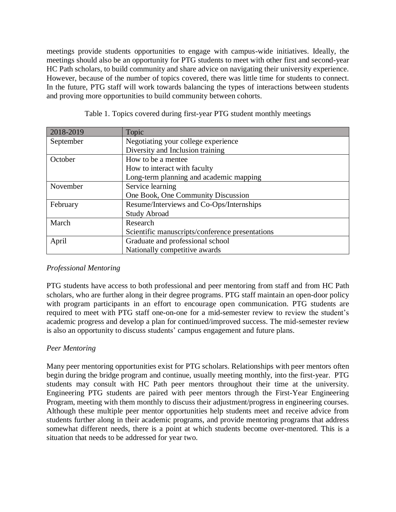meetings provide students opportunities to engage with campus-wide initiatives. Ideally, the meetings should also be an opportunity for PTG students to meet with other first and second-year HC Path scholars, to build community and share advice on navigating their university experience. However, because of the number of topics covered, there was little time for students to connect. In the future, PTG staff will work towards balancing the types of interactions between students and proving more opportunities to build community between cohorts.

| 2018-2019 | Topic                                           |
|-----------|-------------------------------------------------|
| September | Negotiating your college experience             |
|           | Diversity and Inclusion training                |
| October   | How to be a mentee                              |
|           | How to interact with faculty                    |
|           | Long-term planning and academic mapping         |
| November  | Service learning                                |
|           | One Book, One Community Discussion              |
| February  | Resume/Interviews and Co-Ops/Internships        |
|           | <b>Study Abroad</b>                             |
| March     | Research                                        |
|           | Scientific manuscripts/conference presentations |
| April     | Graduate and professional school                |
|           | Nationally competitive awards                   |

Table 1. Topics covered during first-year PTG student monthly meetings

## *Professional Mentoring*

PTG students have access to both professional and peer mentoring from staff and from HC Path scholars, who are further along in their degree programs. PTG staff maintain an open-door policy with program participants in an effort to encourage open communication. PTG students are required to meet with PTG staff one-on-one for a mid-semester review to review the student's academic progress and develop a plan for continued/improved success. The mid-semester review is also an opportunity to discuss students' campus engagement and future plans.

## *Peer Mentoring*

Many peer mentoring opportunities exist for PTG scholars. Relationships with peer mentors often begin during the bridge program and continue, usually meeting monthly, into the first-year. PTG students may consult with HC Path peer mentors throughout their time at the university. Engineering PTG students are paired with peer mentors through the First-Year Engineering Program, meeting with them monthly to discuss their adjustment/progress in engineering courses. Although these multiple peer mentor opportunities help students meet and receive advice from students further along in their academic programs, and provide mentoring programs that address somewhat different needs, there is a point at which students become over-mentored. This is a situation that needs to be addressed for year two.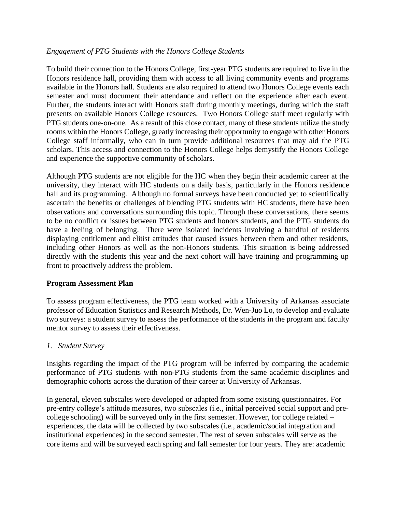### *Engagement of PTG Students with the Honors College Students*

To build their connection to the Honors College, first-year PTG students are required to live in the Honors residence hall, providing them with access to all living community events and programs available in the Honors hall. Students are also required to attend two Honors College events each semester and must document their attendance and reflect on the experience after each event. Further, the students interact with Honors staff during monthly meetings, during which the staff presents on available Honors College resources. Two Honors College staff meet regularly with PTG students one-on-one. As a result of this close contact, many of these students utilize the study rooms within the Honors College, greatly increasing their opportunity to engage with other Honors College staff informally, who can in turn provide additional resources that may aid the PTG scholars. This access and connection to the Honors College helps demystify the Honors College and experience the supportive community of scholars.

Although PTG students are not eligible for the HC when they begin their academic career at the university, they interact with HC students on a daily basis, particularly in the Honors residence hall and its programming. Although no formal surveys have been conducted yet to scientifically ascertain the benefits or challenges of blending PTG students with HC students, there have been observations and conversations surrounding this topic. Through these conversations, there seems to be no conflict or issues between PTG students and honors students, and the PTG students do have a feeling of belonging. There were isolated incidents involving a handful of residents displaying entitlement and elitist attitudes that caused issues between them and other residents, including other Honors as well as the non-Honors students. This situation is being addressed directly with the students this year and the next cohort will have training and programming up front to proactively address the problem.

### **Program Assessment Plan**

To assess program effectiveness, the PTG team worked with a University of Arkansas associate professor of Education Statistics and Research Methods, Dr. Wen-Juo Lo, to develop and evaluate two surveys: a student survey to assess the performance of the students in the program and faculty mentor survey to assess their effectiveness.

### *1. Student Survey*

Insights regarding the impact of the PTG program will be inferred by comparing the academic performance of PTG students with non-PTG students from the same academic disciplines and demographic cohorts across the duration of their career at University of Arkansas.

In general, eleven subscales were developed or adapted from some existing questionnaires. For pre-entry college's attitude measures, two subscales (i.e., initial perceived social support and precollege schooling) will be surveyed only in the first semester. However, for college related – experiences, the data will be collected by two subscales (i.e., academic/social integration and institutional experiences) in the second semester. The rest of seven subscales will serve as the core items and will be surveyed each spring and fall semester for four years. They are: academic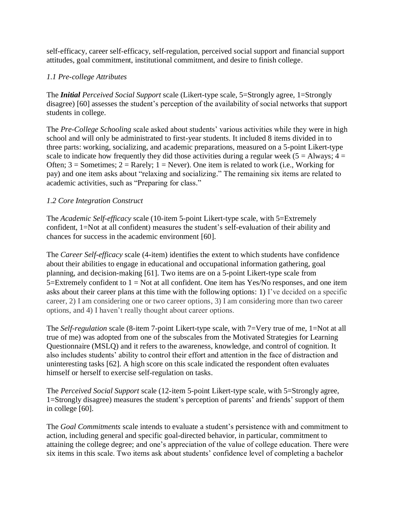self-efficacy, career self-efficacy, self-regulation, perceived social support and financial support attitudes, goal commitment, institutional commitment, and desire to finish college.

## *1.1 Pre-college Attributes*

The *Initial Perceived Social Support* scale (Likert-type scale, 5=Strongly agree, 1=Strongly disagree) [60] assesses the student's perception of the availability of social networks that support students in college.

The *Pre-College Schooling* scale asked about students' various activities while they were in high school and will only be administrated to first-year students. It included 8 items divided in to three parts: working, socializing, and academic preparations, measured on a 5-point Likert-type scale to indicate how frequently they did those activities during a regular week ( $5 =$  Always;  $4 =$ Often;  $3 =$  Sometimes;  $2 =$  Rarely;  $1 =$  Never). One item is related to work (i.e., Working for pay) and one item asks about "relaxing and socializing." The remaining six items are related to academic activities, such as "Preparing for class."

## *1.2 Core Integration Construct*

The *Academic Self-efficacy* scale (10-item 5-point Likert-type scale, with 5=Extremely confident, 1=Not at all confident) measures the student's self-evaluation of their ability and chances for success in the academic environment [60].

The *Career Self-efficacy* scale (4-item) identifies the extent to which students have confidence about their abilities to engage in educational and occupational information gathering, goal planning, and decision-making [61]. Two items are on a 5-point Likert-type scale from 5=Extremely confident to 1 = Not at all confident. One item has Yes/No responses, and one item asks about their career plans at this time with the following options: 1) I've decided on a specific career, 2) I am considering one or two career options, 3) I am considering more than two career options, and 4) I haven't really thought about career options.

The *Self-regulation* scale (8-item 7-point Likert-type scale, with 7=Very true of me, 1=Not at all true of me) was adopted from one of the subscales from the Motivated Strategies for Learning Questionnaire (MSLQ) and it refers to the awareness, knowledge, and control of cognition. It also includes students' ability to control their effort and attention in the face of distraction and uninteresting tasks [62]. A high score on this scale indicated the respondent often evaluates himself or herself to exercise self-regulation on tasks.

The *Perceived Social Support* scale (12-item 5-point Likert-type scale, with 5=Strongly agree, 1=Strongly disagree) measures the student's perception of parents' and friends' support of them in college [60].

The *Goal Commitments* scale intends to evaluate a student's persistence with and commitment to action, including general and specific goal-directed behavior, in particular, commitment to attaining the college degree; and one's appreciation of the value of college education. There were six items in this scale. Two items ask about students' confidence level of completing a bachelor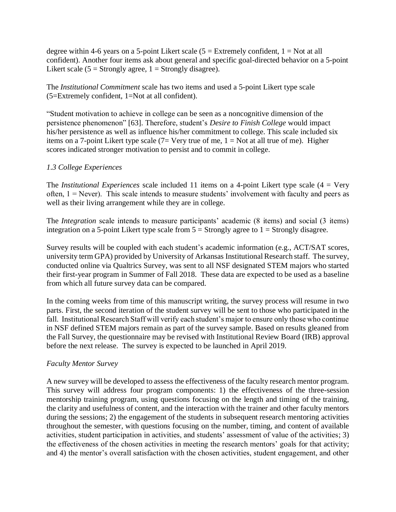degree within 4-6 years on a 5-point Likert scale  $(5 =$  Extremely confident,  $1 =$  Not at all confident). Another four items ask about general and specific goal-directed behavior on a 5-point Likert scale ( $5 =$  Strongly agree,  $1 =$  Strongly disagree).

The *Institutional Commitment* scale has two items and used a 5-point Likert type scale (5=Extremely confident, 1=Not at all confident).

"Student motivation to achieve in college can be seen as a noncognitive dimension of the persistence phenomenon" [63]. Therefore, student's *Desire to Finish College* would impact his/her persistence as well as influence his/her commitment to college. This scale included six items on a 7-point Likert type scale (7= Very true of me,  $1 = Not$  at all true of me). Higher scores indicated stronger motivation to persist and to commit in college.

# *1.3 College Experiences*

The *Institutional Experiences* scale included 11 items on a 4-point Likert type scale (4 = Very often,  $1 =$  Never). This scale intends to measure students' involvement with faculty and peers as well as their living arrangement while they are in college.

The *Integration* scale intends to measure participants' academic (8 items) and social (3 items) integration on a 5-point Likert type scale from  $5 =$  Strongly agree to  $1 =$  Strongly disagree.

Survey results will be coupled with each student's academic information (e.g., ACT/SAT scores, university term GPA) provided by University of Arkansas Institutional Research staff. The survey, conducted online via Qualtrics Survey, was sent to all NSF designated STEM majors who started their first-year program in Summer of Fall 2018. These data are expected to be used as a baseline from which all future survey data can be compared.

In the coming weeks from time of this manuscript writing, the survey process will resume in two parts. First, the second iteration of the student survey will be sent to those who participated in the fall. Institutional Research Staff will verify each student's major to ensure only those who continue in NSF defined STEM majors remain as part of the survey sample. Based on results gleaned from the Fall Survey, the questionnaire may be revised with Institutional Review Board (IRB) approval before the next release. The survey is expected to be launched in April 2019.

## *Faculty Mentor Survey*

A new survey will be developed to assess the effectiveness of the faculty research mentor program. This survey will address four program components: 1) the effectiveness of the three-session mentorship training program, using questions focusing on the length and timing of the training, the clarity and usefulness of content, and the interaction with the trainer and other faculty mentors during the sessions; 2) the engagement of the students in subsequent research mentoring activities throughout the semester, with questions focusing on the number, timing, and content of available activities, student participation in activities, and students' assessment of value of the activities; 3) the effectiveness of the chosen activities in meeting the research mentors' goals for that activity; and 4) the mentor's overall satisfaction with the chosen activities, student engagement, and other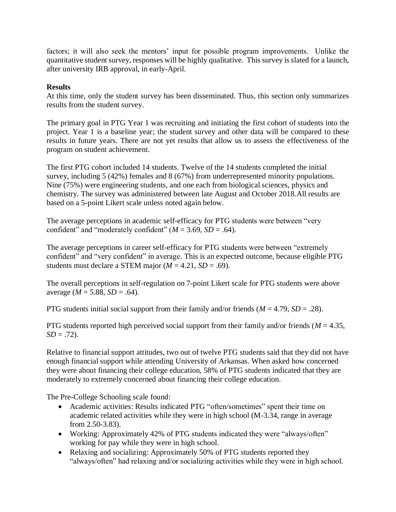factors; it will also seek the mentors' input for possible program improvements. Unlike the quantitative student survey, responses will be highly qualitative. This survey is slated for a launch, after university IRB approval, in early-April.

## **Results**

At this time, only the student survey has been disseminated. Thus, this section only summarizes results from the student survey.

The primary goal in PTG Year 1 was recruiting and initiating the first cohort of students into the project. Year 1 is a baseline year; the student survey and other data will be compared to these results in future years. There are not yet results that allow us to assess the effectiveness of the program on student achievement.

The first PTG cohort included 14 students. Twelve of the 14 students completed the initial survey, including 5 (42%) females and 8 (67%) from underrepresented minority populations. Nine (75%) were engineering students, and one each from biological sciences, physics and chemistry. The survey was administered between late August and October 2018.All results are based on a 5-point Likert scale unless noted again below.

The average perceptions in academic self-efficacy for PTG students were between "very confident" and "moderately confident"  $(M = 3.69, SD = .64)$ .

The average perceptions in career self-efficacy for PTG students were between "extremely confident" and "very confident" in average. This is an expected outcome, because eligible PTG students must declare a STEM major  $(M = 4.21, SD = .69)$ .

The overall perceptions in self-regulation on 7-point Likert scale for PTG students were above average  $(M = 5.88, SD = .64)$ .

PTG students initial social support from their family and/or friends (*M* = 4.79, *SD* = .28).

PTG students reported high perceived social support from their family and/or friends (*M* = 4.35,  $SD = .72$ ).

Relative to financial support attitudes, two out of twelve PTG students said that they did not have enough financial support while attending University of Arkansas. When asked how concerned they were about financing their college education, 58% of PTG students indicated that they are moderately to extremely concerned about financing their college education.

The Pre-College Schooling scale found:

- Academic activities: Results indicated PTG "often/sometimes" spent their time on academic related activities while they were in high school (M-3.34, range in average from 2.50-3.83).
- Working: Approximately 42% of PTG students indicated they were "always/often" working for pay while they were in high school.
- Relaxing and socializing: Approximately 50% of PTG students reported they "always/often" had relaxing and/or socializing activities while they were in high school.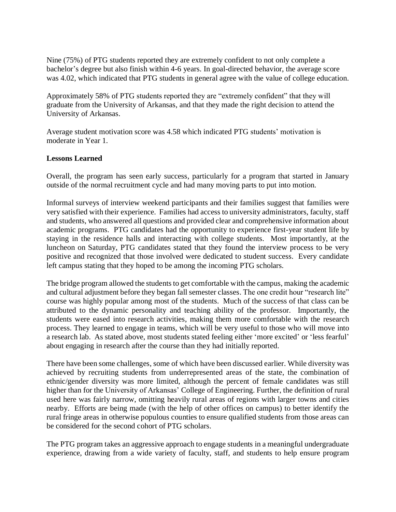Nine (75%) of PTG students reported they are extremely confident to not only complete a bachelor's degree but also finish within 4-6 years. In goal-directed behavior, the average score was 4.02, which indicated that PTG students in general agree with the value of college education.

Approximately 58% of PTG students reported they are "extremely confident" that they will graduate from the University of Arkansas, and that they made the right decision to attend the University of Arkansas.

Average student motivation score was 4.58 which indicated PTG students' motivation is moderate in Year 1.

### **Lessons Learned**

Overall, the program has seen early success, particularly for a program that started in January outside of the normal recruitment cycle and had many moving parts to put into motion.

Informal surveys of interview weekend participants and their families suggest that families were very satisfied with their experience. Families had access to university administrators, faculty, staff and students, who answered all questions and provided clear and comprehensive information about academic programs. PTG candidates had the opportunity to experience first-year student life by staying in the residence halls and interacting with college students. Most importantly, at the luncheon on Saturday, PTG candidates stated that they found the interview process to be very positive and recognized that those involved were dedicated to student success. Every candidate left campus stating that they hoped to be among the incoming PTG scholars.

The bridge program allowed the students to get comfortable with the campus, making the academic and cultural adjustment before they began fall semester classes. The one credit hour "research lite" course was highly popular among most of the students. Much of the success of that class can be attributed to the dynamic personality and teaching ability of the professor. Importantly, the students were eased into research activities, making them more comfortable with the research process. They learned to engage in teams, which will be very useful to those who will move into a research lab. As stated above, most students stated feeling either 'more excited' or 'less fearful' about engaging in research after the course than they had initially reported.

There have been some challenges, some of which have been discussed earlier. While diversity was achieved by recruiting students from underrepresented areas of the state, the combination of ethnic/gender diversity was more limited, although the percent of female candidates was still higher than for the University of Arkansas' College of Engineering. Further, the definition of rural used here was fairly narrow, omitting heavily rural areas of regions with larger towns and cities nearby. Efforts are being made (with the help of other offices on campus) to better identify the rural fringe areas in otherwise populous counties to ensure qualified students from those areas can be considered for the second cohort of PTG scholars.

The PTG program takes an aggressive approach to engage students in a meaningful undergraduate experience, drawing from a wide variety of faculty, staff, and students to help ensure program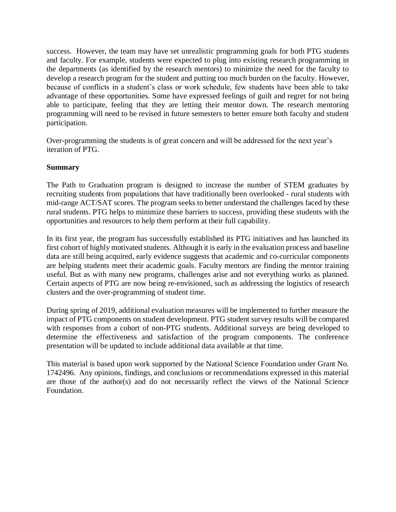success. However, the team may have set unrealistic programming goals for both PTG students and faculty. For example, students were expected to plug into existing research programming in the departments (as identified by the research mentors) to minimize the need for the faculty to develop a research program for the student and putting too much burden on the faculty. However, because of conflicts in a student's class or work schedule, few students have been able to take advantage of these opportunities. Some have expressed feelings of guilt and regret for not being able to participate, feeling that they are letting their mentor down. The research mentoring programming will need to be revised in future semesters to better ensure both faculty and student participation.

Over-programming the students is of great concern and will be addressed for the next year's iteration of PTG.

### **Summary**

The Path to Graduation program is designed to increase the number of STEM graduates by recruiting students from populations that have traditionally been overlooked - rural students with mid-range ACT/SAT scores. The program seeks to better understand the challenges faced by these rural students. PTG helps to minimize these barriers to success, providing these students with the opportunities and resources to help them perform at their full capability.

In its first year, the program has successfully established its PTG initiatives and has launched its first cohort of highly motivated students. Although it is early in the evaluation process and baseline data are still being acquired, early evidence suggests that academic and co-curricular components are helping students meet their academic goals. Faculty mentors are finding the mentor training useful. But as with many new programs, challenges arise and not everything works as planned. Certain aspects of PTG are now being re-envisioned, such as addressing the logistics of research clusters and the over-programming of student time.

During spring of 2019, additional evaluation measures will be implemented to further measure the impact of PTG components on student development. PTG student survey results will be compared with responses from a cohort of non-PTG students. Additional surveys are being developed to determine the effectiveness and satisfaction of the program components. The conference presentation will be updated to include additional data available at that time.

This material is based upon work supported by the National Science Foundation under Grant No. 1742496. Any opinions, findings, and conclusions or recommendations expressed in this material are those of the author(s) and do not necessarily reflect the views of the National Science Foundation.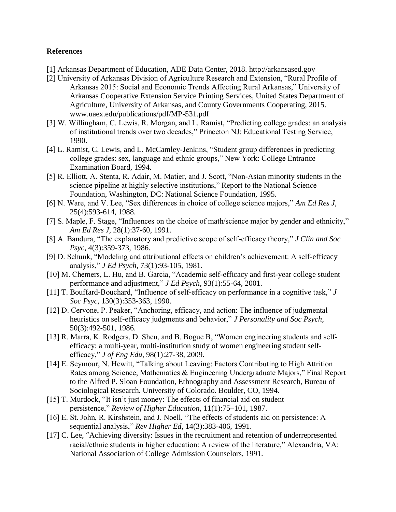#### **References**

- [1] Arkansas Department of Education, ADE Data Center, 2018. http://arkansased.gov
- [2] University of Arkansas Division of Agriculture Research and Extension, "Rural Profile of Arkansas 2015: Social and Economic Trends Affecting Rural Arkansas," University of Arkansas Cooperative Extension Service Printing Services, United States Department of Agriculture, University of Arkansas, and County Governments Cooperating, 2015. www.uaex.edu/publications/pdf/MP-531.pdf
- [3] W. Willingham, C. Lewis, R. Morgan, and L. Ramist, "Predicting college grades: an analysis of institutional trends over two decades," Princeton NJ: Educational Testing Service, 1990.
- [4] L. Ramist, C. Lewis, and L. McCamley-Jenkins, "Student group differences in predicting college grades: sex, language and ethnic groups," New York: College Entrance Examination Board, 1994.
- [5] R. Elliott, A. Stenta, R. Adair, M. Matier, and J. Scott, "Non-Asian minority students in the science pipeline at highly selective institutions," Report to the National Science Foundation, Washington, DC: National Science Foundation, 1995.
- [6] N. Ware, and V. Lee, "Sex differences in choice of college science majors," *Am Ed Res J*, 25(4):593-614, 1988.
- [7] S. Maple, F. Stage, "Influences on the choice of math/science major by gender and ethnicity," *Am Ed Res J,* 28(1):37-60, 1991.
- [8] A. Bandura, "The explanatory and predictive scope of self-efficacy theory," *J Clin and Soc Psyc,* 4(3):359-373, 1986.
- [9] D. Schunk, "Modeling and attributional effects on children's achievement: A self-efficacy analysis," *J Ed Psych,* 73(1):93-105, 1981.
- [10] M. Chemers, L. Hu, and B. Garcia, "Academic self-efficacy and first-year college student performance and adjustment," *J Ed Psych,* 93(1):55-64, 2001.
- [11] T. Bouffard-Bouchard, "Influence of self-efficacy on performance in a cognitive task," *J Soc Psyc,* 130(3):353-363, 1990.
- [12] D. Cervone, P. Peaker, "Anchoring, efficacy, and action: The influence of judgmental heuristics on self-efficacy judgments and behavior," *J Personality and Soc Psych,* 50(3):492-501, 1986.
- [13] R. Marra, K. Rodgers, D. Shen, and B. Bogue B, "Women engineering students and selfefficacy: a multi-year, multi-institution study of women engineering student selfefficacy," *J of Eng Edu,* 98(1):27-38, 2009.
- [14] E. Seymour, N. Hewitt, "Talking about Leaving: Factors Contributing to High Attrition Rates among Science, Mathematics & Engineering Undergraduate Majors," Final Report to the Alfred P. Sloan Foundation, Ethnography and Assessment Research, Bureau of Sociological Research. University of Colorado. Boulder, CO, 1994.
- [15] T. Murdock, "It isn't just money: The effects of financial aid on student persistence," *Review of Higher Education,* 11(1):75–101, 1987.
- [16] E. St. John, R. Kirshstein, and J. Noell, "The effects of students aid on persistence: A sequential analysis," *Rev Higher Ed,* 14(3):383-406, 1991.
- [17] C. Lee, "Achieving diversity: Issues in the recruitment and retention of underrepresented racial/ethnic students in higher education: A review of the literature," Alexandria, VA: National Association of College Admission Counselors, 1991.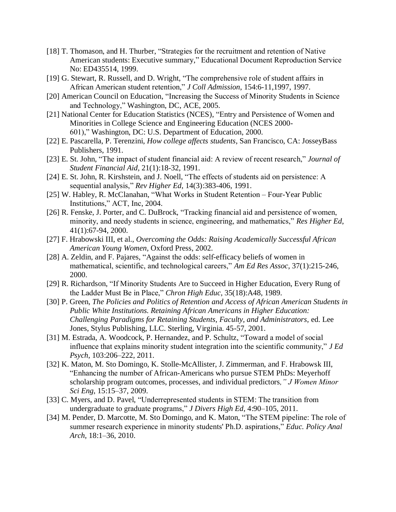- [18] T. Thomason, and H. Thurber, "Strategies for the recruitment and retention of Native American students: Executive summary," Educational Document Reproduction Service No: ED435514, 1999.
- [19] G. Stewart, R. Russell, and D. Wright, "The comprehensive role of student affairs in African American student retention," *J Coll Admission*, 154:6-11,1997, 1997.
- [20] American Council on Education, "Increasing the Success of Minority Students in Science and Technology," Washington, DC, ACE, 2005.
- [21] National Center for Education Statistics (NCES), "Entry and Persistence of Women and Minorities in College Science and Engineering Education (NCES 2000- 601)," Washington, DC: U.S. Department of Education, 2000.
- [22] E. Pascarella, P. Terenzini, *How college affects students*, San Francisco, CA: JosseyBass Publishers, 1991.
- [23] E. St. John, "The impact of student financial aid: A review of recent research," *Journal of Student Financial Aid,* 21(1):18-32, 1991.
- [24] E. St. John, R. Kirshstein, and J. Noell, "The effects of students aid on persistence: A sequential analysis," *Rev Higher Ed*, 14(3):383-406, 1991.
- [25] W. Habley, R. McClanahan, "What Works in Student Retention Four-Year Public Institutions," ACT, Inc, 2004.
- [26] R. Fenske, J. Porter, and C. DuBrock, "Tracking financial aid and persistence of women, minority, and needy students in science, engineering, and mathematics," *Res Higher Ed*, 41(1):67-94, 2000.
- [27] F. Hrabowski III, et al., *Overcoming the Odds: Raising Academically Successful African American Young Women,* Oxford Press, 2002.
- [28] A. Zeldin, and F. Pajares, "Against the odds: self-efficacy beliefs of women in mathematical, scientific, and technological careers," *Am Ed Res Assoc*, 37(1):215-246, 2000.
- [29] R. Richardson, "If Minority Students Are to Succeed in Higher Education, Every Rung of the Ladder Must Be in Place," *Chron High Educ*, 35(18):A48, 1989.
- [30] P. Green, *The Policies and Politics of Retention and Access of African American Students in Public White Institutions. Retaining African Americans in Higher Education: Challenging Paradigms for Retaining Students, Faculty, and Administrators,* ed. Lee Jones, Stylus Publishing, LLC. Sterling, Virginia. 45-57, 2001.
- [31] M. Estrada, A. Woodcock, P. Hernandez, and P. Schultz, "Toward a model of social influence that explains minority student integration into the scientific community," *J Ed Psych*, 103:206–222, 2011.
- [32] K. Maton, M. Sto Domingo, K. Stolle-McAllister, J. Zimmerman, and F. Hrabowsk III, "Enhancing the number of African-Americans who pursue STEM PhDs: Meyerhoff scholarship program outcomes, processes, and individual predictors*," J Women Minor Sci Eng*, 15:15–37, 2009.
- [33] C. Myers, and D. Pavel, "Underrepresented students in STEM: The transition from undergraduate to graduate programs," *J Divers High Ed*, 4:90–105, 2011.
- [34] M. Pender, D. Marcotte, M. Sto Domingo, and K. Maton, "The STEM pipeline: The role of summer research experience in minority students' Ph.D. aspirations," *Educ. Policy Anal Arch*, 18:1–36, 2010.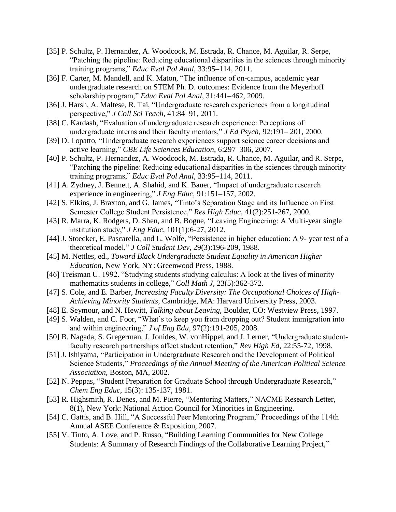- [35] P. Schultz, P. Hernandez, A. Woodcock, M. Estrada, R. Chance, M. Aguilar, R. Serpe, "Patching the pipeline: Reducing educational disparities in the sciences through minority training programs," *Educ Eval Pol Anal*, 33:95–114, 2011.
- [36] F. Carter, M. Mandell, and K. Maton, "The influence of on-campus, academic year undergraduate research on STEM Ph. D. outcomes: Evidence from the Meyerhoff scholarship program," *Educ Eval Pol Anal*, 31:441–462, 2009.
- [36] J. Harsh, A. Maltese, R. Tai, "Undergraduate research experiences from a longitudinal perspective," *J Coll Sci Teach*, 41:84–91, 2011.
- [38] C. Kardash, "Evaluation of undergraduate research experience: Perceptions of undergraduate interns and their faculty mentors," *J Ed Psych*, 92:191– 201, 2000.
- [39] D. Lopatto, "Undergraduate research experiences support science career decisions and active learning," *CBE Life Sciences Education*, 6:297–306, 2007.
- [40] P. Schultz, P. Hernandez, A. Woodcock, M. Estrada, R. Chance, M. Aguilar, and R. Serpe, "Patching the pipeline: Reducing educational disparities in the sciences through minority training programs," *Educ Eval Pol Anal*, 33:95–114, 2011.
- [41] A. Zydney, J. Bennett, A. Shahid, and K. Bauer, "Impact of undergraduate research" experience in engineering," *J Eng Educ*, 91:151–157, 2002.
- [42] S. Elkins, J. Braxton, and G. James, "Tinto's Separation Stage and its Influence on First Semester College Student Persistence," *Res High Educ*, 41(2):251-267, 2000.
- [43] R. Marra, K. Rodgers, D. Shen, and B. Bogue, "Leaving Engineering: A Multi-year single institution study," *J Eng Educ*, 101(1):6-27, 2012.
- [44] J. Stoecker, E. Pascarella, and L. Wolfe, "Persistence in higher education: A 9- year test of a theoretical model," *J Coll Student Dev*, 29(3):196-209, 1988.
- [45] M. Nettles, ed., *Toward Black Undergraduate Student Equality in American Higher Education*, New York, NY: Greenwood Press, 1988.
- [46] Treisman U. 1992. "Studying students studying calculus: A look at the lives of minority mathematics students in college," *Coll Math J,* 23(5):362-372.
- [47] S. Cole, and E. Barber, *Increasing Faculty Diversity: The Occupational Choices of High-Achieving Minority Students,* Cambridge, MA: Harvard University Press, 2003.
- [48] E. Seymour, and N. Hewitt, *Talking about Leaving,* Boulder, CO: Westview Press, 1997.
- [49] S. Walden, and C. Foor, "What's to keep you from dropping out? Student immigration into and within engineering," *J of Eng Edu*, 97(2):191-205, 2008.
- [50] B. Nagada, S. Gregerman, J. Jonides, W. vonHippel, and J. Lerner, "Undergraduate studentfaculty research partnerships affect student retention," *Rev High Ed*, 22:55-72, 1998.
- [51] J. Ishiyama, "Participation in Undergraduate Research and the Development of Political Science Students," *Proceedings of the Annual Meeting of the American Political Science Association,* Boston, MA, 2002.
- [52] N. Peppas, "Student Preparation for Graduate School through Undergraduate Research," *Chem Eng Educ*, 15(3): 135-137, 1981.
- [53] R. Highsmith, R. Denes, and M. Pierre, "Mentoring Matters," NACME Research Letter, 8(1), New York: National Action Council for Minorities in Engineering.
- [54] C. Gattis, and B. Hill, "A Successful Peer Mentoring Program," Proceedings of the 114th Annual ASEE Conference & Exposition, 2007.
- [55] V. Tinto, A. Love, and P. Russo, "Building Learning Communities for New College Students: A Summary of Research Findings of the Collaborative Learning Project,"